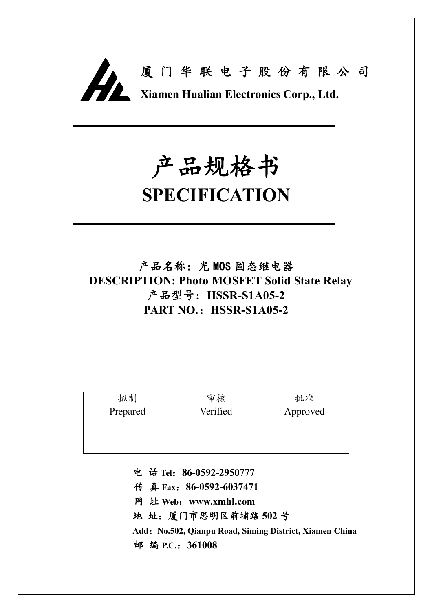

# **产品规格书**

## **SPECIFICATION**

**产品名称:光 MOS 固态继电器 DESCRIPTION: Photo MOSFET Solid State Relay 产品型号:HSSR-S1A05-2 PART NO.:HSSR-S1A05-2**

| 拟制       | 审核       | 批准       |
|----------|----------|----------|
| Prepared | Verified | Approved |
|          |          |          |
|          |          |          |
|          |          |          |

**电 话 Tel:86-0592-2950777**

**传 真 Fax:86-0592-6037471**

**网 址 Web:www.xmhl.com**

**地 址:厦门市思明区前埔路 502 号**

**Add:No.502, Qianpu Road, Siming District, Xiamen China 邮 编 P.C.:361008**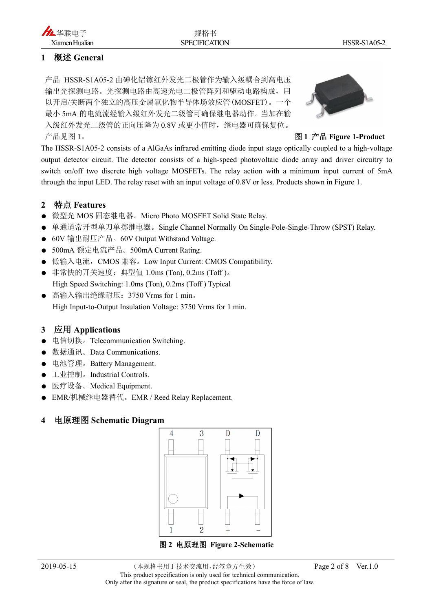#### **1 概述 General**

产品 HSSR-S1A05-2 由砷化铝镓红外发光二极管作为输入级耦合到高电压 输出光探测电路。光探测电路由高速光电二极管阵列和驱动电路构成,用 以开启/关断两个独立的高压金属氧化物半导体场效应管(MOSFET)。一个 最小 5mA 的电流流经输入级红外发光二级管可确保继电器动作。当加在输 入级红外发光二级管的正向压降为 0.8V 或更小值时,继电器可确保复位。 产品见图 1。 **图 1 产品 Figure 1-Product**



The HSSR-S1A05-2 consists of a AlGaAs infrared emitting diode input stage optically coupled to a high-voltage output detector circuit. The detector consists of a high-speed photovoltaic diode array and driver circuitry to switch on/off two discrete high voltage MOSFETs. The relay action with a minimum input current of 5mA through the input LED. The relay reset with an input voltage of 0.8V or less. Products shown in Figure 1.

#### **2 特点 Features**

- 微型光 MOS 固态继电器。Micro Photo MOSFET Solid State Relay.
- 单通道常开型单刀单掷继电器。Single Channel Normally On Single-Pole-Single-Throw (SPST) Relay.
- 60V 输出耐压产品。60V Output Withstand Voltage.
- 500mA 额定电流产品。500mA Current Rating.
- 低输入电流, CMOS 兼容。Low Input Current: CMOS Compatibility.
- 非常快的开关速度:典型值 1.0ms (Ton), 0.2ms (Toff )。 High Speed Switching: 1.0ms (Ton), 0.2ms (Toff ) Typical
- 高输入输出绝缘耐压: 3750 Vrms for 1 min。 High Input-to-Output Insulation Voltage: 3750 Vrms for 1 min.

#### **3 应用 Applications**

- 电信切换。Telecommunication Switching.
- 数据通讯。Data Communications.
- 电池管理。Battery Management.
- 工业控制。Industrial Controls.
- 医疗设备。Medical Equipment.
- **EMR/机械继电器替代。EMR / Reed Relay Replacement.**

#### **4 电原理图 Schematic Diagram**

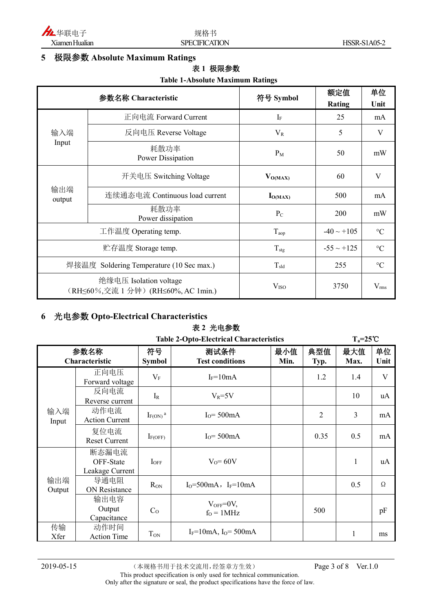

#### **5 极限参数 Absolute Maximum Ratings**

#### **表 1 极限参数**

#### **Table 1-Absolute Maximum Ratings**

| 参数名称 Characteristic                      |                                                               | 符号 Symbol        | 额定值             | 单位              |
|------------------------------------------|---------------------------------------------------------------|------------------|-----------------|-----------------|
|                                          |                                                               |                  | <b>Rating</b>   | Unit            |
|                                          | 正向电流 Forward Current                                          | $I_F$            | 25              | mA              |
| 输入端                                      | 反向电压 Reverse Voltage                                          | $V_{R}$          | 5               | V               |
| Input                                    | 耗散功率<br>Power Dissipation                                     | $P_M$            | 50              | mW              |
| 输出端<br>output                            | 开关电压 Switching Voltage                                        | $V_{O(MAX)}$     | 60              | V               |
|                                          | 连续通态电流 Continuous load current                                | $I_{O(MAX)}$     | 500             | mA              |
|                                          | 耗散功率<br>Power dissipation                                     | $P_{C}$          | 200             | mW              |
| 工作温度 Operating temp.                     |                                                               | $T_{\text{aop}}$ | $-40 \sim +105$ | $\rm ^{\circ}C$ |
| 贮存温度 Storage temp.                       |                                                               | $T_{\text{stg}}$ | $-55 \sim +125$ | $\rm ^{\circ}C$ |
| 焊接温度 Soldering Temperature (10 Sec max.) |                                                               | $T_{\rm sld}$    | 255             | $\rm ^{\circ}C$ |
|                                          | 绝缘电压 Isolation voltage<br>(RH≤60%,交流 1 分钟) (RH≤60%, AC 1min.) | V <sub>ISO</sub> | 3750            | $V_{\rm rms}$   |

#### **6 光电参数 Opto-Electrical Characteristics**

#### **表 2 光电参数**

| <b>Table 2-Opto-Electrical Characteristics</b> |                                       |                          |                                | $T_a = 25^{\circ}C$ |             |             |            |
|------------------------------------------------|---------------------------------------|--------------------------|--------------------------------|---------------------|-------------|-------------|------------|
| 参数名称<br>Characteristic                         |                                       | 符号<br><b>Symbol</b>      | 测试条件<br><b>Test conditions</b> | 最小值<br>Min.         | 典型值<br>Typ. | 最大值<br>Max. | 单位<br>Unit |
|                                                | 正向电压<br>Forward voltage               | $V_{\mathrm{F}}$         | $I_F = 10mA$                   |                     | 1.2         | 1.4         | V          |
|                                                | 反向电流<br>Reverse current               | $I_{R}$                  | $V_R = 5V$                     |                     |             | 10          | uA         |
| 输入端<br>Input                                   | 动作电流<br><b>Action Current</b>         | $I_{F(ON)}$ <sup>a</sup> | $I0=500mA$                     |                     | 2           | 3           | mA         |
|                                                | 复位电流<br><b>Reset Current</b>          | $I_{F(OFF)}$             | $I0=500mA$                     |                     | 0.35        | 0.5         | mA         |
|                                                | 断态漏电流<br>OFF-State<br>Leakage Current | $I_{OFF}$                | $V_0 = 60V$                    |                     |             | 1           | uA         |
| 输出端<br>Output                                  | 导通电阻<br><b>ON Resistance</b>          | $R_{ON}$                 | $I_0 = 500$ mA, $I_F = 10$ mA  |                     |             | 0.5         | Ω          |
|                                                | 输出电容<br>Output<br>Capacitance         | C <sub>o</sub>           | $V_{OFF}=0V$ ,<br>$fO = 1 MHz$ |                     | 500         |             | pF         |
| 传输<br>Xfer                                     | 动作时间<br><b>Action Time</b>            | T <sub>ON</sub>          | $I_F = 10mA$ , $I_O = 500mA$   |                     |             | 1           | ms         |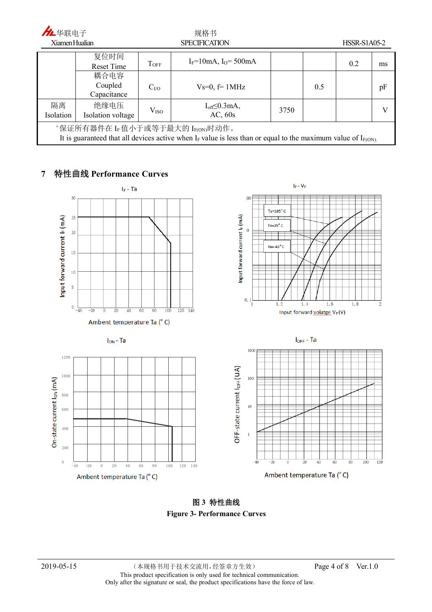| 九华联电子                                                                                                                                                     |                                |                      | 规格书                               |      |     |                     |    |
|-----------------------------------------------------------------------------------------------------------------------------------------------------------|--------------------------------|----------------------|-----------------------------------|------|-----|---------------------|----|
| Xiamen Hualian                                                                                                                                            |                                | <b>SPECIFICATION</b> |                                   |      |     | <b>HSSR-S1A05-2</b> |    |
|                                                                                                                                                           | 复位时间<br>Reset Time             | $T$ OFF              | $I_F = 10mA$ , $I_O = 500mA$      |      |     | 0.2                 | ms |
|                                                                                                                                                           | 耦合电容<br>Coupled<br>Capacitance | C <sub>1</sub> /O    | $Vs=0, f=1MHz$                    |      | 0.5 |                     | pF |
| 隔离<br>Isolation                                                                                                                                           | 绝缘电压<br>Isolation voltage      | V <sub>ISO</sub>     | $I_{off} \leq 0.3$ mA,<br>AC, 60s | 3750 |     |                     |    |
| "保证所有器件在 IF 值小于或等于最大的 IF(ON)时动作。<br>It is guaranteed that all devices active when $I_F$ value is less than or equal to the maximum value of $I_{F(ON)}$ . |                                |                      |                                   |      |     |                     |    |

#### **7 特性曲线 Performance Curves**



**图 3 特性曲线 Figure 3- Performance Curves**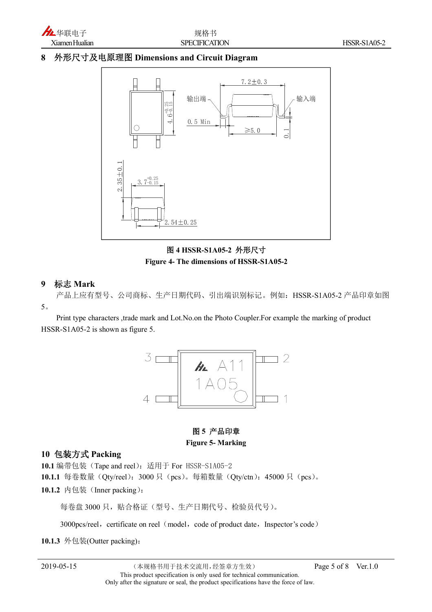

#### **8 外形尺寸及电原理图 Dimensions and Circuit Diagram**



**图 4 HSSR-S1A05-2 外形尺寸 Figure 4- The dimensions of HSSR-S1A05-2**

#### **9 标志 Mark**

产品上应有型号、公司商标、生产日期代码、引出端识别标记。例如:HSSR-S1A05-2 产品印章如图 5。

Print type characters ,trade mark and Lot.No.on the Photo Coupler.For example the marking of product HSSR-S1A05-2 is shown as figure 5.



#### **图 5 产品印章 Figure 5- Marking**

#### **10 包装方式 Packing**

10.1 编带包装(Tape and reel): 适用于 For HSSR-S1A05-2 10.1.1 每卷数量(Qty/reel): 3000 只(pcs)。每箱数量(Qty/ctn): 45000 只(pcs)。

10.1.2 内包装 (Inner packing):

每卷盘 3000 只,贴合格证(型号、生产日期代号、检验员代号)。

3000pcs/reel, certificate on reel (model, code of product date, Inspector's code)

**10.1.3** 外包装(Outter packing):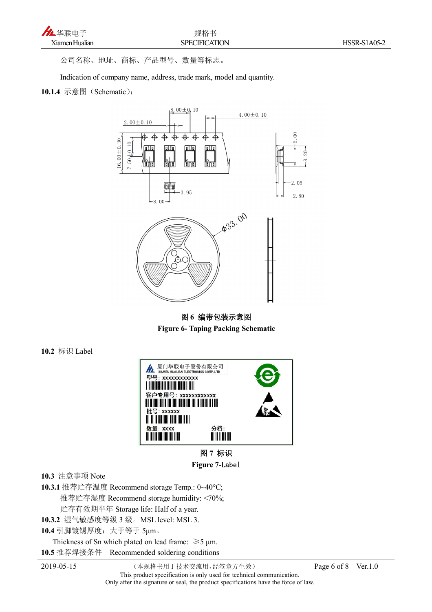

公司名称、地址、商标、产品型号、数量等标志。

Indication of company name, address, trade mark, model and quantity.

#### **10.1.4** 示意图(Schematic):



**图 6 编带包装示意图 Figure 6- Taping Packing Schematic**

**10.2** 标识 Label



**图 7 标识 Figure 7-Label**

**10.3** 注意事项 Note

**10.3.1** 推荐贮存温度 Recommend storage Temp.: 0~40°C; 推荐贮存湿度 Recommend storage humidity: <70%; 贮存有效期半年 Storage life: Half of a year. **10.3.2** 湿气敏感度等级 3 级。MSL level: MSL 3.

**10.4** 引脚镀锡厚度:大于等于 5μm。

Thickness of Sn which plated on lead frame:  $\geq 5$  µm. **10.5** 推荐焊接条件 Recommended soldering conditions

2019-05-15 (本规格书用于技术交流用,经签章方生效) Page 6 of 8 Ver.1.0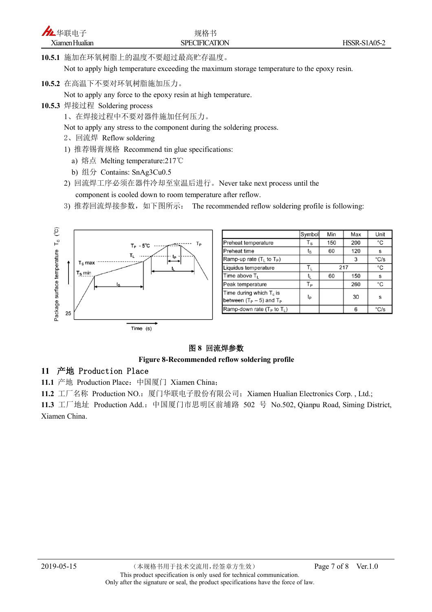**10.5.1** 施加在环氧树脂上的温度不要超过最高贮存温度。

Not to apply high temperature exceeding the maximum storage temperature to the epoxy resin.

**10.5.2** 在高温下不要对环氧树脂施加压力。

Not to apply any force to the epoxy resin at high temperature.

- **10.5.3** 焊接过程 Soldering process
	- 1、在焊接过程中不要对器件施加任何压力。

Not to apply any stress to the component during the soldering process.

- 2、回流焊 Reflow soldering
- 1) 推荐锡膏规格 Recommend tin glue specifications:
	- a) 熔点 Melting temperature:217℃
	- b) 组分 Contains: SnAg3Cu0.5
- 2) 回流焊工序必须在器件冷却至室温后进行。Never take next process until the component is cooled down to room temperature after reflow.
- 3) 推荐回流焊接参数,如下图所示: The recommended reflow soldering profile is following:



|                                                             | Symbol                  | Min | Max | Unit |
|-------------------------------------------------------------|-------------------------|-----|-----|------|
| Preheat temperature                                         | $\mathsf{T}_\mathsf{S}$ | 150 | 200 | °C   |
| Preheat time                                                | ts                      | 60  | 120 | s    |
| Ramp-up rate $(T_L$ to $T_P$ )                              |                         |     | 3   | °C/s |
| Liquidus temperature                                        | $T_{L}$                 | 217 |     | °C   |
| Time above T <sub>1</sub>                                   | t,                      | 60  | 150 | s    |
| Peak temperature                                            | Tр                      |     | 260 | °C   |
| Time during which $T_c$ is<br>between $(T_P - 5)$ and $T_P$ | tp                      |     | 30  | s    |
| Ramp-down rate $(T_P$ to $T_L$ )                            |                         |     | 6   | °C/s |

#### **图 8 回流焊参数**

#### **Figure 8-Recommended reflow soldering profile**

#### **11 产地 Production Place**

**11.1** 产地 Production Place:中国厦门 Xiamen China;

11.2 工厂名称 Production NO.: 厦门华联电子股份有限公司; Xiamen Hualian Electronics Corp., Ltd.;

11.3 工厂地址 Production Add.: 中国厦门市思明区前埔路 502 号 No.502, Qianpu Road, Siming District, Xiamen China.